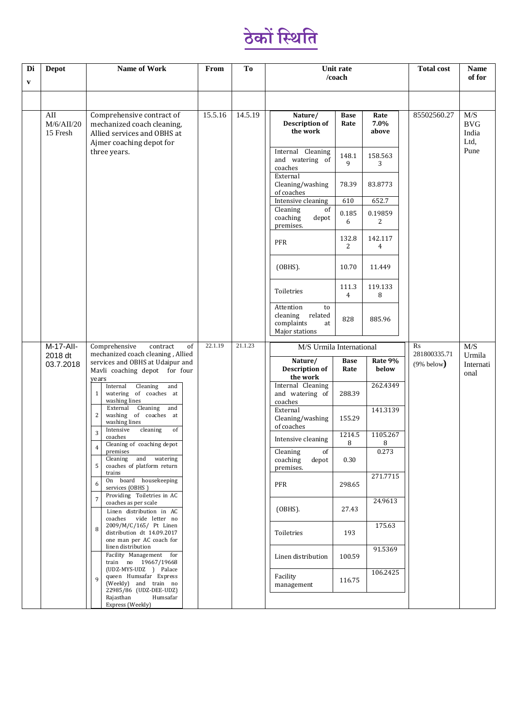

| Di<br>V | <b>Depot</b>                  | <b>Name of Work</b>                                                                                                                                                                                                                                                                                                                                                                                                                                                                                                                                                                    | From               | To      | Unit rate<br>/coach                                                          | <b>Total cost</b>        | <b>Name</b><br>of for                                |             |                                            |  |
|---------|-------------------------------|----------------------------------------------------------------------------------------------------------------------------------------------------------------------------------------------------------------------------------------------------------------------------------------------------------------------------------------------------------------------------------------------------------------------------------------------------------------------------------------------------------------------------------------------------------------------------------------|--------------------|---------|------------------------------------------------------------------------------|--------------------------|------------------------------------------------------|-------------|--------------------------------------------|--|
|         |                               |                                                                                                                                                                                                                                                                                                                                                                                                                                                                                                                                                                                        |                    |         |                                                                              |                          |                                                      |             |                                            |  |
|         | AII<br>M/6/AlI/20<br>15 Fresh | Comprehensive contract of<br>mechanized coach cleaning,<br>Allied services and OBHS at<br>Ajmer coaching depot for<br>three years.                                                                                                                                                                                                                                                                                                                                                                                                                                                     | 15.5.16            | 14.5.19 | Nature/<br><b>Description of</b><br>the work                                 | <b>Base</b><br>Rate      | Rate<br>7.0%<br>above                                | 85502560.27 | M/S<br><b>BVG</b><br>India<br>Ltd,<br>Pune |  |
|         |                               |                                                                                                                                                                                                                                                                                                                                                                                                                                                                                                                                                                                        |                    |         | Internal Cleaning<br>and watering of<br>coaches                              | 148.1<br>9               | 158.563<br>3                                         |             |                                            |  |
|         |                               |                                                                                                                                                                                                                                                                                                                                                                                                                                                                                                                                                                                        |                    |         | External<br>Cleaning/washing<br>of coaches                                   | 78.39                    | 83.8773                                              |             |                                            |  |
|         |                               |                                                                                                                                                                                                                                                                                                                                                                                                                                                                                                                                                                                        |                    |         | Intensive cleaning                                                           | 610                      | 652.7                                                |             |                                            |  |
|         |                               |                                                                                                                                                                                                                                                                                                                                                                                                                                                                                                                                                                                        |                    |         | Cleaning<br>of<br>coaching<br>depot<br>premises.                             | 0.185<br>6               | 0.19859<br>2                                         |             |                                            |  |
|         |                               |                                                                                                                                                                                                                                                                                                                                                                                                                                                                                                                                                                                        |                    |         | PFR                                                                          | 132.8<br>$\overline{2}$  | 142.117<br>$\overline{4}$                            |             |                                            |  |
|         |                               |                                                                                                                                                                                                                                                                                                                                                                                                                                                                                                                                                                                        |                    |         | $(OBHS)$ .                                                                   | 10.70                    | 11.449                                               |             |                                            |  |
|         |                               |                                                                                                                                                                                                                                                                                                                                                                                                                                                                                                                                                                                        |                    |         | Toiletries                                                                   | 111.3<br>$\overline{4}$  | 119.133<br>8                                         |             |                                            |  |
|         |                               |                                                                                                                                                                                                                                                                                                                                                                                                                                                                                                                                                                                        |                    |         | Attention<br>to<br>related<br>cleaning<br>complaints<br>at<br>Major stations | 828                      | 885.96                                               |             |                                            |  |
|         | M-17-All-                     | Comprehensive<br>of<br>contract<br>mechanized coach cleaning, Allied<br>2018 dt<br>services and OBHS at Udaipur and<br>Mavli coaching depot for four<br>years<br>Cleaning<br>Internal<br>and<br>watering of coaches at<br>$\mathbf{1}$<br>washing lines<br>Cleaning<br>External<br>and<br>2<br>washing of coaches at<br>washing lines<br>Intensive<br>cleaning<br>of<br>3<br>coaches<br>Cleaning of coaching depot<br>premises<br>and watering<br>Cleaning<br>coaches of platform return<br>5<br>trains<br>On board housekeeping<br>6<br>services (OBHS)<br>Providing Toiletries in AC | 22.1.19<br>21.1.23 |         | M/S Urmila International                                                     | $\rm Rs$<br>281800335.71 | M/S<br>Urmila                                        |             |                                            |  |
|         | 03.7.2018                     |                                                                                                                                                                                                                                                                                                                                                                                                                                                                                                                                                                                        |                    |         | Nature/<br><b>Description of</b><br>the work                                 | Base<br>Rate             | Rate 9%<br>below                                     | (9% below)  | Internati<br>onal                          |  |
|         |                               |                                                                                                                                                                                                                                                                                                                                                                                                                                                                                                                                                                                        |                    |         | Internal Cleaning<br>and watering of<br>coaches                              | 288.39                   | 262.4349                                             |             |                                            |  |
|         |                               |                                                                                                                                                                                                                                                                                                                                                                                                                                                                                                                                                                                        |                    |         |                                                                              |                          | External<br>Cleaning/washing<br>155.29<br>of coaches | 141.3139    |                                            |  |
|         |                               |                                                                                                                                                                                                                                                                                                                                                                                                                                                                                                                                                                                        |                    |         | Intensive cleaning                                                           | 1214.5<br>8              | 1105.267<br>8                                        |             |                                            |  |
|         |                               |                                                                                                                                                                                                                                                                                                                                                                                                                                                                                                                                                                                        |                    |         | Cleaning<br>of<br>coaching<br>depot<br>premises.                             | 0.30                     | 0.273                                                |             |                                            |  |
|         |                               |                                                                                                                                                                                                                                                                                                                                                                                                                                                                                                                                                                                        |                    |         | <b>PFR</b>                                                                   | 298.65                   | 271.7715                                             |             |                                            |  |
|         |                               | $\overline{7}$<br>coaches as per scale<br>Linen distribution in AC<br>vide letter no<br>coaches                                                                                                                                                                                                                                                                                                                                                                                                                                                                                        |                    |         | $(OBHS)$ .                                                                   | 27.43                    | 24.9613                                              |             |                                            |  |
|         |                               | 2009/M/C/165/ Pt Linen<br>8<br>distribution dt 14.09.2017<br>one man per AC coach for<br>linen distribution<br>Facility Management for<br>train no 19667/19668<br>(UDZ-MYS-UDZ ) Palace                                                                                                                                                                                                                                                                                                                                                                                                |                    |         | Toiletries                                                                   | 193                      | 175.63                                               |             |                                            |  |
|         |                               |                                                                                                                                                                                                                                                                                                                                                                                                                                                                                                                                                                                        |                    |         | Linen distribution                                                           | 100.59                   | 91.5369                                              |             |                                            |  |
|         |                               | queen Humsafar Express<br>9<br>(Weekly) and train no<br>22985/86 (UDZ-DEE-UDZ)                                                                                                                                                                                                                                                                                                                                                                                                                                                                                                         |                    |         | Facility<br>management                                                       | 116.75                   | 106.2425                                             |             |                                            |  |
|         |                               | Rajasthan<br>Humsafar<br>Express (Weekly)                                                                                                                                                                                                                                                                                                                                                                                                                                                                                                                                              |                    |         |                                                                              |                          |                                                      |             |                                            |  |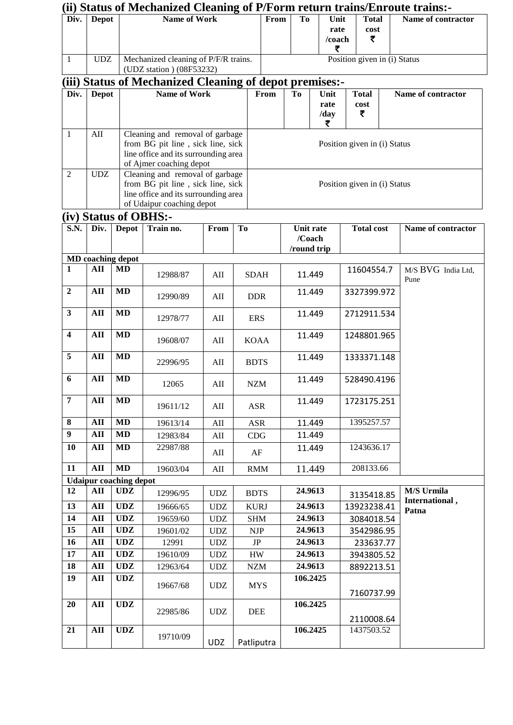|                         | (ii) Status of Mechanized Cleaning of P/Form return trains/Enroute trains:- |                                             |                                                                                                                                           |                                                   |                           |                              |                                           |           |                           |  |                            |  |
|-------------------------|-----------------------------------------------------------------------------|---------------------------------------------|-------------------------------------------------------------------------------------------------------------------------------------------|---------------------------------------------------|---------------------------|------------------------------|-------------------------------------------|-----------|---------------------------|--|----------------------------|--|
| Div.                    | <b>Depot</b>                                                                | <b>Name of Work</b>                         |                                                                                                                                           | From                                              | To                        | Unit<br>rate<br>/coach<br>₹  | <b>Total</b><br>cost<br>₹                 |           | Name of contractor        |  |                            |  |
| $\mathbf{1}$            | <b>UDZ</b>                                                                  |                                             | Mechanized cleaning of P/F/R trains.<br>(UDZ station) (08F53232)                                                                          |                                                   |                           |                              | Position given in (i) Status              |           |                           |  |                            |  |
| (iii)                   |                                                                             |                                             | <b>Status of Mechanized Cleaning of depot premises:-</b>                                                                                  |                                                   |                           |                              |                                           |           |                           |  |                            |  |
| Div.                    | <b>Depot</b>                                                                |                                             | <b>Name of Work</b>                                                                                                                       |                                                   |                           | From                         | To                                        | Unit      | <b>Total</b>              |  | Name of contractor         |  |
|                         |                                                                             |                                             |                                                                                                                                           |                                                   |                           |                              | rate                                      |           | cost                      |  |                            |  |
|                         |                                                                             |                                             |                                                                                                                                           |                                                   |                           |                              |                                           | /day<br>₹ | ₹                         |  |                            |  |
| $\mathbf{1}$            | AII                                                                         |                                             | Cleaning and removal of garbage<br>from BG pit line, sick line, sick<br>line office and its surrounding area<br>of Ajmer coaching depot   |                                                   |                           | Position given in (i) Status |                                           |           |                           |  |                            |  |
| $\overline{2}$          | UDZ                                                                         |                                             | Cleaning and removal of garbage<br>from BG pit line, sick line, sick<br>line office and its surrounding area<br>of Udaipur coaching depot |                                                   |                           | Position given in (i) Status |                                           |           |                           |  |                            |  |
|                         |                                                                             |                                             | (iv) Status of OBHS:-                                                                                                                     |                                                   |                           |                              |                                           |           |                           |  |                            |  |
| <b>S.N.</b>             | Div.                                                                        | <b>Depot</b>                                | Train no.                                                                                                                                 | From                                              | <b>To</b>                 |                              | <b>Unit rate</b><br>/Coach<br>/round trip |           | <b>Total cost</b>         |  | Name of contractor         |  |
|                         |                                                                             | MD coaching depot                           |                                                                                                                                           |                                                   |                           |                              |                                           |           |                           |  |                            |  |
| 1                       | AII                                                                         | <b>MD</b>                                   | 12988/87                                                                                                                                  | AII                                               | <b>SDAH</b>               |                              | 11.449                                    |           | 11604554.7                |  | M/S BVG India Ltd,<br>Pune |  |
| $\overline{2}$          | $\mathbf{A}$ II                                                             | MD                                          | 12990/89                                                                                                                                  | AII                                               | <b>DDR</b>                |                              | 11.449                                    |           | 3327399.972               |  |                            |  |
| $\mathbf{3}$            | AII                                                                         | <b>MD</b>                                   | 12978/77                                                                                                                                  | AII                                               | <b>ERS</b>                |                              | 11.449                                    |           | 2712911.534               |  |                            |  |
| $\overline{\mathbf{4}}$ | AII                                                                         | MD                                          | 19608/07                                                                                                                                  | AII                                               | <b>KOAA</b>               |                              | 11.449                                    |           | 1248801.965               |  |                            |  |
| 5                       | AII                                                                         | <b>MD</b>                                   | 22996/95                                                                                                                                  | AII                                               | <b>BDTS</b>               |                              | 11.449                                    |           | 1333371.148               |  |                            |  |
| 6                       | ${\bf AII}$                                                                 | <b>MD</b>                                   | 12065                                                                                                                                     | $\mathop{\rm A}\nolimits\mathop{\rm II}\nolimits$ | $NZM$                     |                              | 11.449                                    |           | 528490.4196               |  |                            |  |
| $\overline{7}$          | AII                                                                         | <b>MD</b>                                   | 19611/12                                                                                                                                  | $\mathbf{A}$ II                                   | <b>ASR</b>                |                              | 11.449<br>1723175.251                     |           |                           |  |                            |  |
| 8                       | AII                                                                         | MD                                          | 19613/14                                                                                                                                  | $\mathop{\rm A}\nolimits\mathop{\rm II}\nolimits$ | ASR                       |                              | 11.449                                    |           | 1395257.57                |  |                            |  |
| $\boldsymbol{9}$        | $\mathbf{A}$ II                                                             | <b>MD</b>                                   | 12983/84                                                                                                                                  | $\mathop{\rm A}\nolimits\mathop{\rm II}\nolimits$ | CDG                       |                              | 11.449                                    |           |                           |  |                            |  |
| 10                      | AII                                                                         | MD                                          | 22987/88                                                                                                                                  | AII                                               | AF                        |                              | 11.449                                    |           | 1243636.17                |  |                            |  |
| 11                      | AII                                                                         | <b>MD</b>                                   | 19603/04                                                                                                                                  | $\mathop{\rm A}\nolimits\mathop{\rm II}\nolimits$ | <b>RMM</b>                |                              | 11.449                                    |           | 208133.66                 |  |                            |  |
| 12                      | AII                                                                         | <b>Udaipur coaching depot</b><br><b>UDZ</b> |                                                                                                                                           |                                                   |                           |                              | 24.9613                                   |           |                           |  | M/S Urmila                 |  |
| 13                      | $\mathbf{A}$ II                                                             | <b>UDZ</b>                                  | 12996/95                                                                                                                                  | <b>UDZ</b>                                        | <b>BDTS</b>               |                              | 24.9613                                   |           | 3135418.85                |  | International,             |  |
| 14                      | ${\bf AII}$                                                                 | <b>UDZ</b>                                  | 19666/65<br>19659/60                                                                                                                      | <b>UDZ</b><br><b>UDZ</b>                          | <b>KURJ</b><br><b>SHM</b> |                              | 24.9613                                   |           | 13923238.41<br>3084018.54 |  | Patna                      |  |
| 15                      | AII                                                                         | <b>UDZ</b>                                  | 19601/02                                                                                                                                  | <b>UDZ</b>                                        | <b>NJP</b>                |                              | 24.9613                                   |           | 3542986.95                |  |                            |  |
| 16                      | $\mathbf{A}$ II                                                             | <b>UDZ</b>                                  | 12991                                                                                                                                     | <b>UDZ</b>                                        | $\rm{JP}$                 |                              | 24.9613                                   |           | 233637.77                 |  |                            |  |
| 17                      | ${\bf AII}$                                                                 | <b>UDZ</b>                                  | 19610/09                                                                                                                                  | <b>UDZ</b>                                        | HW                        |                              | 24.9613                                   |           | 3943805.52                |  |                            |  |
| 18                      | AII                                                                         | <b>UDZ</b>                                  | 12963/64                                                                                                                                  | <b>UDZ</b>                                        | <b>NZM</b>                |                              | 24.9613                                   |           | 8892213.51                |  |                            |  |
| 19                      | $\mathbf{A}$ II                                                             | <b>UDZ</b>                                  | 19667/68                                                                                                                                  | <b>UDZ</b>                                        | <b>MYS</b>                |                              | 106.2425                                  |           | 7160737.99                |  |                            |  |
| 20                      | $\mathbf{A}$ II                                                             | <b>UDZ</b>                                  | 22985/86                                                                                                                                  | $\ensuremath{\mathrm{UDZ}}$                       | DEE                       |                              | 106.2425                                  |           |                           |  |                            |  |
| 21                      | $\mathbf{A}$ II                                                             | <b>UDZ</b>                                  | 19710/09                                                                                                                                  | <b>UDZ</b>                                        | Patliputra                |                              | 2110008.64<br>106.2425<br>1437503.52      |           |                           |  |                            |  |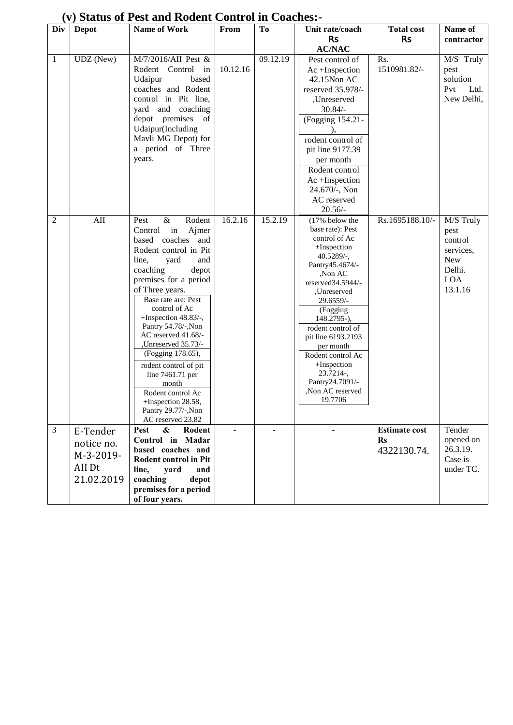| Div          | <b>Depot</b> | Name of Work                             | From     | T <sub>0</sub> | Unit rate/coach              | <b>Total cost</b>    | Name of     |
|--------------|--------------|------------------------------------------|----------|----------------|------------------------------|----------------------|-------------|
|              |              |                                          |          |                | <b>Rs</b>                    | <b>Rs</b>            | contractor  |
|              |              |                                          |          |                | <b>AC/NAC</b>                |                      |             |
| $\mathbf{1}$ | UDZ (New)    | M/7/2016/AII Pest &                      |          | 09.12.19       | Pest control of              | Rs.                  | M/S Truly   |
|              |              | Rodent Control<br>in                     | 10.12.16 |                | Ac +Inspection               | 1510981.82/-         | pest        |
|              |              | Udaipur<br>based                         |          |                | 42.15Non AC                  |                      | solution    |
|              |              | coaches and Rodent                       |          |                | reserved 35.978/-            |                      | Pvt<br>Ltd. |
|              |              | control in Pit line,                     |          |                | ,Unreserved                  |                      | New Delhi,  |
|              |              | yard and coaching                        |          |                | $30.84/-$                    |                      |             |
|              |              | depot premises<br>of                     |          |                | (Fogging 154.21-             |                      |             |
|              |              | Udaipur(Including                        |          |                |                              |                      |             |
|              |              | Mavli MG Depot) for                      |          |                | rodent control of            |                      |             |
|              |              | a period of Three                        |          |                | pit line 9177.39             |                      |             |
|              |              | years.                                   |          |                | per month                    |                      |             |
|              |              |                                          |          |                | Rodent control               |                      |             |
|              |              |                                          |          |                | Ac +Inspection               |                      |             |
|              |              |                                          |          |                | 24.670/-, Non                |                      |             |
|              |              |                                          |          |                | AC reserved                  |                      |             |
|              |              |                                          |          |                | $20.56/-$                    |                      |             |
| $\mathbf{2}$ | AII          | $\&$<br>Rodent<br>Pest                   | 16.2.16  | 15.2.19        | (17% below the               | Rs.1695188.10/-      | M/S Truly   |
|              |              | Control in<br>Ajmer                      |          |                | base rate): Pest             |                      | pest        |
|              |              | based coaches<br>and                     |          |                | control of Ac                |                      | control     |
|              |              | Rodent control in Pit                    |          |                | +Inspection                  |                      | services,   |
|              |              | line,<br>yard<br>and                     |          |                | $40.5289/$ -,                |                      | New         |
|              |              | coaching<br>depot                        |          |                | Pantry45.4674/-              |                      | Delhi.      |
|              |              | premises for a period                    |          |                | ,Non AC<br>reserved34.5944/- |                      | <b>LOA</b>  |
|              |              | of Three years.                          |          |                | ,Unreserved                  |                      | 13.1.16     |
|              |              | Base rate are: Pest                      |          |                | 29.6559/-                    |                      |             |
|              |              | control of Ac                            |          |                | (Fogging                     |                      |             |
|              |              | +Inspection 48.83/-,                     |          |                | 148.2795-),                  |                      |             |
|              |              | Pantry 54.78/-, Non                      |          |                | rodent control of            |                      |             |
|              |              | AC reserved 41.68/-                      |          |                | pit line 6193.2193           |                      |             |
|              |              | ,Unreserved 35.73/-<br>(Fogging 178.65), |          |                | per month                    |                      |             |
|              |              |                                          |          |                | Rodent control Ac            |                      |             |
|              |              | rodent control of pit                    |          |                | +Inspection<br>23.7214-,     |                      |             |
|              |              | line 7461.71 per<br>month                |          |                | Pantry24.7091/-              |                      |             |
|              |              | Rodent control Ac                        |          |                | Non AC reserved              |                      |             |
|              |              | +Inspection 28.58,                       |          |                | 19.7706                      |                      |             |
|              |              | Pantry 29.77/-, Non                      |          |                |                              |                      |             |
|              |              | AC reserved 23.82                        |          |                |                              |                      |             |
| 3            | E-Tender     | &<br>Rodent<br>Pest                      | ÷.       | L.             | $\overline{a}$               | <b>Estimate cost</b> | Tender      |
|              | notice no.   | Control in Madar                         |          |                |                              | $\mathbf{R}s$        | opened on   |
|              |              | based coaches and                        |          |                |                              | 4322130.74.          | 26.3.19.    |
|              | M-3-2019-    | <b>Rodent control in Pit</b>             |          |                |                              |                      | Case is     |
|              | AII Dt       | line,<br>yard<br>and                     |          |                |                              |                      | under TC.   |
|              | 21.02.2019   | coaching<br>depot                        |          |                |                              |                      |             |
|              |              | premises for a period                    |          |                |                              |                      |             |
|              |              | of four years.                           |          |                |                              |                      |             |

## **(v) Status of Pest and Rodent Control in Coaches:-**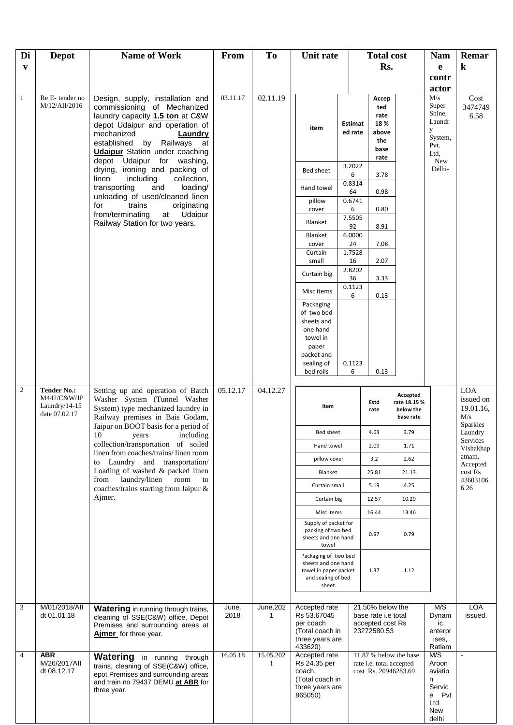| Di             | <b>Depot</b>                                                           | <b>Name of Work</b>                                                                                                                                                                                                                        | From          | T <sub>o</sub> | Unit rate                                                                                                       |                           |                                                                                   | <b>Total cost</b><br>Rs.                                                   |                                                                        | Remar                                       |
|----------------|------------------------------------------------------------------------|--------------------------------------------------------------------------------------------------------------------------------------------------------------------------------------------------------------------------------------------|---------------|----------------|-----------------------------------------------------------------------------------------------------------------|---------------------------|-----------------------------------------------------------------------------------|----------------------------------------------------------------------------|------------------------------------------------------------------------|---------------------------------------------|
| $\mathbf{v}$   |                                                                        |                                                                                                                                                                                                                                            |               |                |                                                                                                                 |                           |                                                                                   |                                                                            | $\mathbf{e}$<br>contr                                                  | $\bf k$                                     |
|                |                                                                        |                                                                                                                                                                                                                                            |               |                |                                                                                                                 |                           |                                                                                   |                                                                            | actor                                                                  |                                             |
| $\mathbf{1}$   | Re E-tender no<br>M/12/AII/2016                                        | Design, supply, installation and<br>commissioning of Mechanized<br>laundry capacity 1.5 ton at C&W<br>depot Udaipur and operation of<br>mechanized<br>Laundry<br>by Railways<br>established<br>at<br><b>Udaipur</b> Station under coaching | 03.11.17      | 02.11.19       | item                                                                                                            | <b>Estimat</b><br>ed rate | Accep<br>ted<br>rate<br>18%<br>above<br>the<br>base<br>rate                       |                                                                            | M/s<br>Super<br>Shine,<br>Laundr<br>y<br>System,<br>Pvt.<br>Ltd.       | Cost<br>3474749<br>6.58                     |
|                |                                                                        | depot<br>Udaipur for washing,<br>drying, ironing and packing of                                                                                                                                                                            |               |                | Bed sheet                                                                                                       | 3.2022<br>6               | 3.78                                                                              |                                                                            | New<br>Delhi-                                                          |                                             |
|                |                                                                        | including<br>collection,<br>linen<br>transporting<br>loading/<br>and                                                                                                                                                                       |               |                | Hand towel                                                                                                      | 0.8314                    |                                                                                   |                                                                            |                                                                        |                                             |
|                |                                                                        | unloading of used/cleaned linen<br>for<br>trains<br>originating                                                                                                                                                                            |               |                | pillow                                                                                                          | 64<br>0.6741              | 0.98                                                                              |                                                                            |                                                                        |                                             |
|                |                                                                        | from/terminating<br>Udaipur<br>at                                                                                                                                                                                                          |               |                | cover                                                                                                           | 6<br>7.5505               | 0.80                                                                              |                                                                            |                                                                        |                                             |
|                |                                                                        | Railway Station for two years.                                                                                                                                                                                                             |               |                | Blanket<br>Blanket                                                                                              | 92<br>6.0000              | 8.91                                                                              |                                                                            |                                                                        |                                             |
|                |                                                                        |                                                                                                                                                                                                                                            |               |                | cover                                                                                                           | 24                        | 7.08                                                                              |                                                                            |                                                                        |                                             |
|                |                                                                        |                                                                                                                                                                                                                                            |               |                | Curtain<br>small                                                                                                | 1.7528<br>16              | 2.07                                                                              |                                                                            |                                                                        |                                             |
|                |                                                                        |                                                                                                                                                                                                                                            |               |                | Curtain big                                                                                                     | 2.8202<br>36              | 3.33                                                                              |                                                                            |                                                                        |                                             |
|                |                                                                        |                                                                                                                                                                                                                                            |               |                | Misc items                                                                                                      | 0.1123<br>6               | 0.13                                                                              |                                                                            |                                                                        |                                             |
|                |                                                                        |                                                                                                                                                                                                                                            |               |                | Packaging<br>of two bed<br>sheets and<br>one hand<br>towel in<br>paper<br>packet and<br>sealing of<br>bed rolls | 0.1123<br>6               | 0.13                                                                              |                                                                            |                                                                        |                                             |
| $\overline{c}$ | <b>Tender No.:</b><br>M442/C&W/JP<br>Laundry/ $14-15$<br>date 07.02.17 | Setting up and operation of Batch<br>Washer System (Tunnel Washer<br>System) type mechanized laundry in<br>Railway premises in Bais Godam,                                                                                                 | 05.12.17      | 04.12.27       | item                                                                                                            |                           | Estd<br>rate                                                                      | Accepted<br>rate 18.15 %<br>below the<br>base rate                         |                                                                        | <b>LOA</b><br>issued on<br>19.01.16,<br>M/s |
|                |                                                                        | Jaipur on BOOT basis for a period of<br>10<br>years<br>including                                                                                                                                                                           |               |                | Bed sheet                                                                                                       |                           | 4.63                                                                              | 3.79                                                                       |                                                                        | Sparkles<br>Laundry                         |
|                |                                                                        | collection/transportation of soiled<br>linen from coaches/trains/linen room                                                                                                                                                                |               |                | Hand towel                                                                                                      |                           | 2.09                                                                              | 1.71                                                                       |                                                                        | Services<br>Vishakhap                       |
|                |                                                                        | to Laundry and transportation/                                                                                                                                                                                                             |               |                | pillow cover                                                                                                    |                           | 3.2                                                                               | 2.62                                                                       |                                                                        | atnam.<br>Accepted                          |
|                |                                                                        | Loading of washed & packed linen<br>from laundry/linen<br>room<br>to                                                                                                                                                                       |               |                | Blanket<br>Curtain small                                                                                        |                           | 25.81<br>5.19                                                                     | 21.13<br>4.25                                                              |                                                                        | cost Rs<br>43603106                         |
|                |                                                                        | coaches/trains starting from Jaipur &<br>Ajmer.                                                                                                                                                                                            |               |                | Curtain big                                                                                                     |                           | 12.57                                                                             | 10.29                                                                      |                                                                        | 6.26                                        |
|                |                                                                        |                                                                                                                                                                                                                                            |               |                | Misc items                                                                                                      |                           | 16.44                                                                             | 13.46                                                                      |                                                                        |                                             |
|                |                                                                        |                                                                                                                                                                                                                                            |               |                | Supply of packet for<br>packing of two bed<br>sheets and one hand<br>towel                                      |                           | 0.97                                                                              | 0.79                                                                       |                                                                        |                                             |
|                |                                                                        |                                                                                                                                                                                                                                            |               |                | Packaging of two bed<br>sheets and one hand<br>towel in paper packet<br>and sealing of bed<br>sheet             |                           | 1.37                                                                              | 1.12                                                                       |                                                                        |                                             |
| 3              | M/01/2018/All<br>dt 01.01.18                                           | <b>Watering</b> in running through trains,<br>cleaning of SSE(C&W) office, Depot<br>Premises and surrounding areas at<br>Ajmer for three year.                                                                                             | June.<br>2018 | June.202<br>1  | Accepted rate<br>Rs 53.67045<br>per coach<br>(Total coach in                                                    |                           | 21.50% below the<br>base rate <i>i.e</i> total<br>accepted cost Rs<br>23272580.53 |                                                                            | M/S<br>Dynam<br>ic<br>enterpr                                          | LOA<br>issued.                              |
|                |                                                                        |                                                                                                                                                                                                                                            |               |                | three years are<br>433620)                                                                                      |                           |                                                                                   |                                                                            | ises,<br>Ratlam                                                        |                                             |
| $\overline{4}$ | <b>ABR</b><br>M/26/2017AII<br>dt 08.12.17                              | <b>Watering</b> in running through<br>trains, cleaning of SSE(C&W) office,<br>epot Premises and surrounding areas<br>and train no 79437 DEMU at ABR for<br>three year.                                                                     | 16.05.18      | 15.05.202<br>1 | Accepted rate<br>Rs 24.35 per<br>coach.<br>(Total coach in<br>three years are<br>865050)                        |                           |                                                                                   | 11.87 % below the base<br>rate i.e. total accepted<br>cost Rs. 20946283.69 | M/S<br>Aroon<br>aviatio<br>n<br>Servic<br>e Pvt<br>Ltd<br>New<br>delhi | $\blacksquare$                              |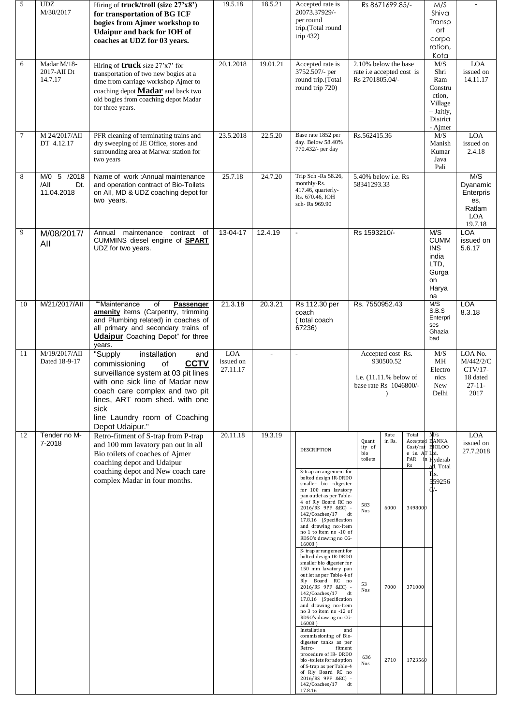| 5  | <b>UDZ</b><br>M/30/2017                  | Hiring of truck/troll (size 27'x8')<br>for transportation of BG ICF<br>bogies from Ajmer workshop to<br><b>Udaipur and back for IOH of</b><br>coaches at UDZ for 03 years.                                                                                                     | 19.5.18                             | 18.5.21  | Accepted rate is<br>20073.37929/-<br>per round<br>trip.(Total round<br>trip $432$ )                                                                                                                                                                                                                           | Rs 8671699.85/-                                                                      |                                      | M/S<br>Shiva<br>Transp<br>ort<br>corpo<br>ration,<br>Kota                                |                                                                    |
|----|------------------------------------------|--------------------------------------------------------------------------------------------------------------------------------------------------------------------------------------------------------------------------------------------------------------------------------|-------------------------------------|----------|---------------------------------------------------------------------------------------------------------------------------------------------------------------------------------------------------------------------------------------------------------------------------------------------------------------|--------------------------------------------------------------------------------------|--------------------------------------|------------------------------------------------------------------------------------------|--------------------------------------------------------------------|
| 6  | Madar M/18-<br>2017-AII Dt<br>14.7.17    | Hiring of <b>truck</b> size $27'x7'$ for<br>transportation of two new bogies at a<br>time from carriage workshop Ajmer to<br>coaching depot <b>Madar</b> and back two<br>old bogies from coaching depot Madar<br>for three years.                                              | 20.1.2018                           | 19.01.21 | Accepted rate is<br>3752.507/- per<br>round trip.(Total<br>round trip 720)                                                                                                                                                                                                                                    | 2.10% below the base<br>rate i.e accepted cost is<br>Rs 2701805.04/-                 |                                      | M/S<br>Shri<br>Ram<br>Constru<br>ction,<br>Village<br>$-$ Jaitly,<br>District<br>- Ajmer | <b>LOA</b><br>issued on<br>14.11.17                                |
| 7  | M 24/2017/AII<br>DT 4.12.17              | PFR cleaning of terminating trains and<br>dry sweeping of JE Office, stores and<br>surrounding area at Marwar station for<br>two years                                                                                                                                         | 23.5.2018                           | 22.5.20  | Base rate 1852 per<br>day. Below 58.40%<br>770.432/- per day                                                                                                                                                                                                                                                  | Rs.562415.36                                                                         |                                      | M/S<br>Manish<br>Kumar<br>Java<br>Pali                                                   | <b>LOA</b><br>issued on<br>2.4.18                                  |
| 8  | M/0 5 /2018<br>/All<br>Dt.<br>11.04.2018 | Name of work: Annual maintenance<br>and operation contract of Bio-Toilets<br>on All, MD & UDZ coaching depot for<br>two years.                                                                                                                                                 | 25.7.18                             | 24.7.20  | Trip Sch -Rs 58.26,<br>monthly-Rs.<br>417.46, quarterly-<br>Rs. 670.46. IOH<br>sch- Rs 969.90                                                                                                                                                                                                                 | 5.40% below <i>i.e.</i> Rs<br>58341293.33                                            |                                      |                                                                                          | M/S<br>Dyanamic<br>Enterpris<br>es,<br>Ratlam<br>LOA<br>19.7.18    |
| 9  | M/08/2017/<br>All                        | maintenance<br>contract of<br>Annual<br>CUMMINS diesel engine of <b>SPART</b><br>UDZ for two years.                                                                                                                                                                            | 13-04-17                            | 12.4.19  | $\blacksquare$                                                                                                                                                                                                                                                                                                | Rs 1593210/-                                                                         |                                      | M/S<br><b>CUMM</b><br><b>INS</b><br>india<br>LTD,<br>Gurga<br>on<br>Harya<br>na          | <b>LOA</b><br>issued on<br>5.6.17                                  |
| 10 | M/21/2017/All                            | "Maintenance"<br>of<br>Passenger<br>amenity items (Carpentry, trimming<br>and Plumbing related) in coaches of<br>all primary and secondary trains of<br><b>Udaipur</b> Coaching Depot" for three<br>years.                                                                     | 21.3.18                             | 20.3.21  | Rs 112.30 per<br>coach<br>(total coach<br>67236)                                                                                                                                                                                                                                                              | Rs. 7550952.43                                                                       |                                      | M/S<br>S.B.S<br>Enterpri<br>ses<br>Ghazia<br>bad                                         | <b>LOA</b><br>8.3.18                                               |
| 11 | M/19/2017/AII<br>Dated 18-9-17           | installation<br>"Supply<br>and<br><b>CCTV</b><br>of<br>commissioning<br>surveillance system at 03 pit lines<br>with one sick line of Madar new<br>coach care complex and two pit<br>lines, ART room shed. with one<br>sick<br>line Laundry room of Coaching<br>Depot Udaipur." | <b>LOA</b><br>issued on<br>27.11.17 |          | $\sim$                                                                                                                                                                                                                                                                                                        | Accepted cost Rs.<br>930500.52<br>i.e. $(11.11.%$ below of<br>base rate Rs 1046800/- |                                      | M/S<br>MН<br>Electro<br>nics<br>New<br>Delhi                                             | LOA No.<br>M/442/2/C<br>CTV/17-<br>18 dated<br>$27 - 11 -$<br>2017 |
| 12 | Tender no M-<br>7-2018                   | Retro-fitment of S-trap from P-trap<br>and 100 mm lavatory pan out in all<br>Bio toilets of coaches of Ajmer<br>coaching depot and Udaipur<br>coaching depot and New coach care                                                                                                | 20.11.18                            | 19.3.19  | <b>DESCRIPTION</b><br>S-trap arrangement for                                                                                                                                                                                                                                                                  | Rate<br>in Rs.<br>Quant<br>ity of<br>bio<br>toilets                                  | Total<br>e i.e. AT Ltd.<br>PAR<br>Rs | M/s<br>Accepted BANKA<br>Cost/rat BIOLOO<br>in Hyderab<br>ad, Total                      | <b>LOA</b><br>issued on<br>27.7.2018                               |
|    |                                          | complex Madar in four months.                                                                                                                                                                                                                                                  |                                     |          | bolted design IR-DRDO<br>smaller bio -digester<br>for 100 mm lavatory<br>pan outlet as per Table-<br>4 of Rly Board RC no<br>2016/RS 9PF &EC) -<br>142/Coaches/17<br>17.8.16 (Specification<br>and drawing no:-Item<br>no 1 to item no -10 of<br>RDSO's drawing no CG-<br>$16008$ )<br>S-trap arrangement for | 583<br>6000<br>Nos<br>dt                                                             | 3498000                              | Rs.<br>559256                                                                            |                                                                    |
|    |                                          |                                                                                                                                                                                                                                                                                |                                     |          | bolted design IR-DRDO<br>smaller bio digester for<br>150 mm lavatory pan<br>out let as per Table-4 of<br>Rly Board RC no<br>2016/RS 9PF &EC) -<br>142/Coaches/17<br>17.8.16 (Specification<br>and drawing no:-Item<br>no 3 to item no -12 of<br>RDSO's drawing no CG-<br>$16008$ )<br>Installation<br>and     | 53<br>7000<br>Nos<br>dt                                                              | 371000                               |                                                                                          |                                                                    |
|    |                                          |                                                                                                                                                                                                                                                                                |                                     |          | commissioning of Bio-<br>digester tanks as per<br>Retro-<br>fitment<br>procedure of IR-DRDO<br>bio-toilets for adoption<br>of S-trap as per Table-4<br>of Rly Board RC no<br>2016/RS 9PF &EC) -<br>142/Coaches/17<br>17.8.16                                                                                  | 636<br>2710<br>Nos<br>dt                                                             | 1723560                              |                                                                                          |                                                                    |